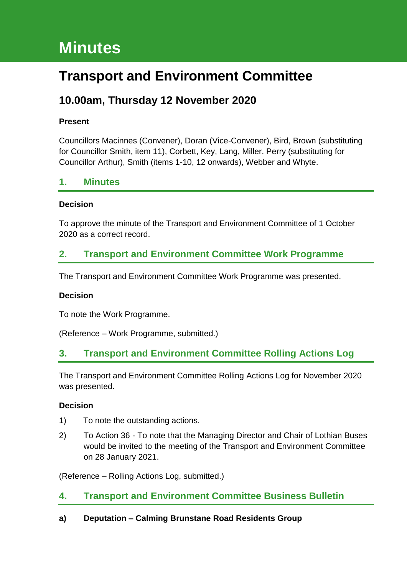# **Minutes**

# **Transport and Environment Committee**

# **10.00am, Thursday 12 November 2020**

#### **Present**

Councillors Macinnes (Convener), Doran (Vice-Convener), Bird, Brown (substituting for Councillor Smith, item 11), Corbett, Key, Lang, Miller, Perry (substituting for Councillor Arthur), Smith (items 1-10, 12 onwards), Webber and Whyte.

# **1. Minutes**

#### **Decision**

To approve the minute of the Transport and Environment Committee of 1 October 2020 as a correct record.

# **2. Transport and Environment Committee Work Programme**

The Transport and Environment Committee Work Programme was presented.

#### **Decision**

To note the Work Programme.

(Reference – Work Programme, submitted.)

# **3. Transport and Environment Committee Rolling Actions Log**

The Transport and Environment Committee Rolling Actions Log for November 2020 was presented.

#### **Decision**

- 1) To note the outstanding actions.
- 2) To Action 36 To note that the Managing Director and Chair of Lothian Buses would be invited to the meeting of the Transport and Environment Committee on 28 January 2021.

(Reference – Rolling Actions Log, submitted.)

# **4. Transport and Environment Committee Business Bulletin**

#### **a) Deputation – Calming Brunstane Road Residents Group**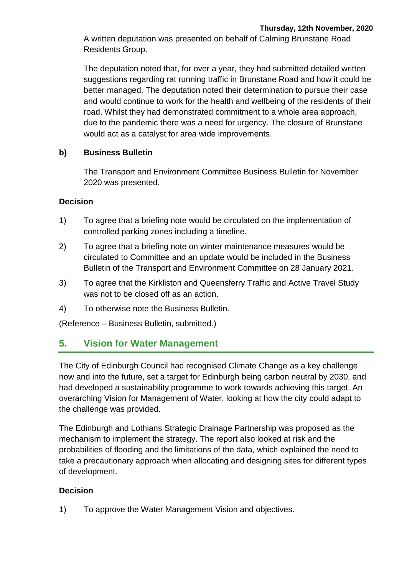A written deputation was presented on behalf of Calming Brunstane Road Residents Group.

The deputation noted that, for over a year, they had submitted detailed written suggestions regarding rat running traffic in Brunstane Road and how it could be better managed. The deputation noted their determination to pursue their case and would continue to work for the health and wellbeing of the residents of their road. Whilst they had demonstrated commitment to a whole area approach, due to the pandemic there was a need for urgency. The closure of Brunstane would act as a catalyst for area wide improvements.

#### **b) Business Bulletin**

The Transport and Environment Committee Business Bulletin for November 2020 was presented.

#### **Decision**

- 1) To agree that a briefing note would be circulated on the implementation of controlled parking zones including a timeline.
- 2) To agree that a briefing note on winter maintenance measures would be circulated to Committee and an update would be included in the Business Bulletin of the Transport and Environment Committee on 28 January 2021.
- 3) To agree that the Kirkliston and Queensferry Traffic and Active Travel Study was not to be closed off as an action.
- 4) To otherwise note the Business Bulletin.

(Reference – Business Bulletin, submitted.)

# **5. Vision for Water Management**

The City of Edinburgh Council had recognised Climate Change as a key challenge now and into the future, set a target for Edinburgh being carbon neutral by 2030, and had developed a sustainability programme to work towards achieving this target. An overarching Vision for Management of Water, looking at how the city could adapt to the challenge was provided.

The Edinburgh and Lothians Strategic Drainage Partnership was proposed as the mechanism to implement the strategy. The report also looked at risk and the probabilities of flooding and the limitations of the data, which explained the need to take a precautionary approach when allocating and designing sites for different types of development.

# **Decision**

1) To approve the Water Management Vision and objectives.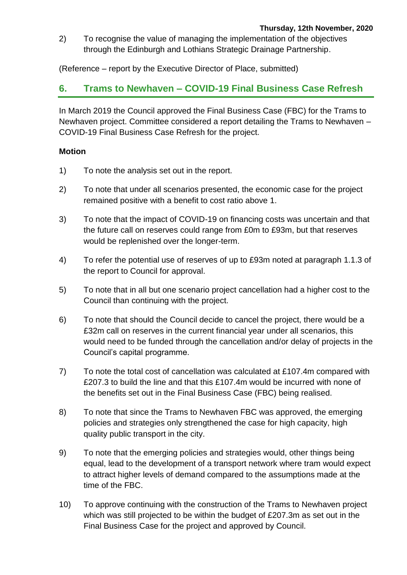2) To recognise the value of managing the implementation of the objectives through the Edinburgh and Lothians Strategic Drainage Partnership.

(Reference – report by the Executive Director of Place, submitted)

# **6. Trams to Newhaven – COVID-19 Final Business Case Refresh**

In March 2019 the Council approved the Final Business Case (FBC) for the Trams to Newhaven project. Committee considered a report detailing the Trams to Newhaven – COVID-19 Final Business Case Refresh for the project.

#### **Motion**

- 1) To note the analysis set out in the report.
- 2) To note that under all scenarios presented, the economic case for the project remained positive with a benefit to cost ratio above 1.
- 3) To note that the impact of COVID-19 on financing costs was uncertain and that the future call on reserves could range from £0m to £93m, but that reserves would be replenished over the longer-term.
- 4) To refer the potential use of reserves of up to £93m noted at paragraph 1.1.3 of the report to Council for approval.
- 5) To note that in all but one scenario project cancellation had a higher cost to the Council than continuing with the project.
- 6) To note that should the Council decide to cancel the project, there would be a £32m call on reserves in the current financial year under all scenarios, this would need to be funded through the cancellation and/or delay of projects in the Council's capital programme.
- 7) To note the total cost of cancellation was calculated at £107.4m compared with £207.3 to build the line and that this £107.4m would be incurred with none of the benefits set out in the Final Business Case (FBC) being realised.
- 8) To note that since the Trams to Newhaven FBC was approved, the emerging policies and strategies only strengthened the case for high capacity, high quality public transport in the city.
- 9) To note that the emerging policies and strategies would, other things being equal, lead to the development of a transport network where tram would expect to attract higher levels of demand compared to the assumptions made at the time of the FBC.
- 10) To approve continuing with the construction of the Trams to Newhaven project which was still projected to be within the budget of £207.3m as set out in the Final Business Case for the project and approved by Council.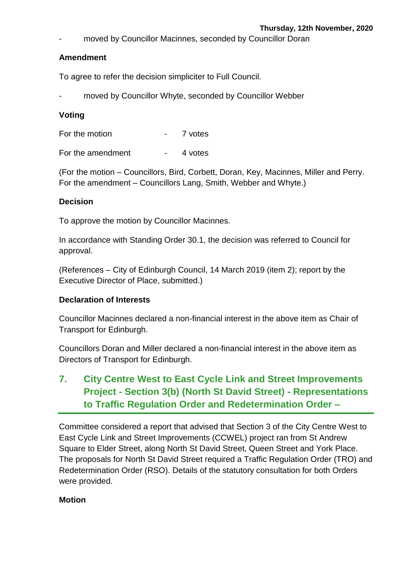moved by Councillor Macinnes, seconded by Councillor Doran

#### **Amendment**

To agree to refer the decision simpliciter to Full Council.

moved by Councillor Whyte, seconded by Councillor Webber

#### **Voting**

For the motion Theorem 2 votes

For the amendment - 4 votes

(For the motion – Councillors, Bird, Corbett, Doran, Key, Macinnes, Miller and Perry. For the amendment – Councillors Lang, Smith, Webber and Whyte.)

#### **Decision**

To approve the motion by Councillor Macinnes.

In accordance with Standing Order 30.1, the decision was referred to Council for approval.

(References – City of Edinburgh Council, 14 March 2019 (item 2); report by the Executive Director of Place, submitted.)

#### **Declaration of Interests**

Councillor Macinnes declared a non-financial interest in the above item as Chair of Transport for Edinburgh.

Councillors Doran and Miller declared a non-financial interest in the above item as Directors of Transport for Edinburgh.

# **7. City Centre West to East Cycle Link and Street Improvements Project - Section 3(b) (North St David Street) - Representations to Traffic Regulation Order and Redetermination Order –**

Committee considered a report that advised that Section 3 of the City Centre West to East Cycle Link and Street Improvements (CCWEL) project ran from St Andrew Square to Elder Street, along North St David Street, Queen Street and York Place. The proposals for North St David Street required a Traffic Regulation Order (TRO) and Redetermination Order (RSO). Details of the statutory consultation for both Orders were provided.

#### **Motion**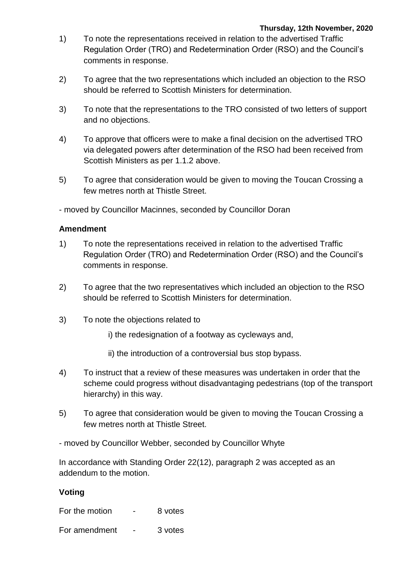- 1) To note the representations received in relation to the advertised Traffic Regulation Order (TRO) and Redetermination Order (RSO) and the Council's comments in response.
- 2) To agree that the two representations which included an objection to the RSO should be referred to Scottish Ministers for determination.
- 3) To note that the representations to the TRO consisted of two letters of support and no objections.
- 4) To approve that officers were to make a final decision on the advertised TRO via delegated powers after determination of the RSO had been received from Scottish Ministers as per 1.1.2 above.
- 5) To agree that consideration would be given to moving the Toucan Crossing a few metres north at Thistle Street.

- moved by Councillor Macinnes, seconded by Councillor Doran

#### **Amendment**

- 1) To note the representations received in relation to the advertised Traffic Regulation Order (TRO) and Redetermination Order (RSO) and the Council's comments in response.
- 2) To agree that the two representatives which included an objection to the RSO should be referred to Scottish Ministers for determination.
- 3) To note the objections related to
	- i) the redesignation of a footway as cycleways and,
	- ii) the introduction of a controversial bus stop bypass.
- 4) To instruct that a review of these measures was undertaken in order that the scheme could progress without disadvantaging pedestrians (top of the transport hierarchy) in this way.
- 5) To agree that consideration would be given to moving the Toucan Crossing a few metres north at Thistle Street.

- moved by Councillor Webber, seconded by Councillor Whyte

In accordance with Standing Order 22(12), paragraph 2 was accepted as an addendum to the motion.

#### **Voting**

For the motion  $-8$  votes

For amendment - 3 votes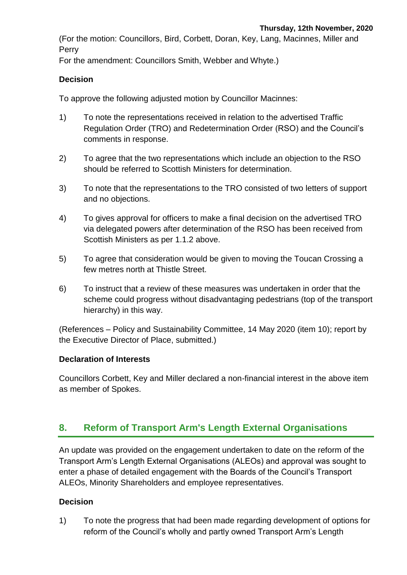(For the motion: Councillors, Bird, Corbett, Doran, Key, Lang, Macinnes, Miller and Perry

For the amendment: Councillors Smith, Webber and Whyte.)

#### **Decision**

To approve the following adjusted motion by Councillor Macinnes:

- 1) To note the representations received in relation to the advertised Traffic Regulation Order (TRO) and Redetermination Order (RSO) and the Council's comments in response.
- 2) To agree that the two representations which include an objection to the RSO should be referred to Scottish Ministers for determination.
- 3) To note that the representations to the TRO consisted of two letters of support and no objections.
- 4) To gives approval for officers to make a final decision on the advertised TRO via delegated powers after determination of the RSO has been received from Scottish Ministers as per 1.1.2 above.
- 5) To agree that consideration would be given to moving the Toucan Crossing a few metres north at Thistle Street.
- 6) To instruct that a review of these measures was undertaken in order that the scheme could progress without disadvantaging pedestrians (top of the transport hierarchy) in this way.

(References – Policy and Sustainability Committee, 14 May 2020 (item 10); report by the Executive Director of Place, submitted.)

#### **Declaration of Interests**

Councillors Corbett, Key and Miller declared a non-financial interest in the above item as member of Spokes.

# **8. Reform of Transport Arm's Length External Organisations**

An update was provided on the engagement undertaken to date on the reform of the Transport Arm's Length External Organisations (ALEOs) and approval was sought to enter a phase of detailed engagement with the Boards of the Council's Transport ALEOs, Minority Shareholders and employee representatives.

#### **Decision**

1) To note the progress that had been made regarding development of options for reform of the Council's wholly and partly owned Transport Arm's Length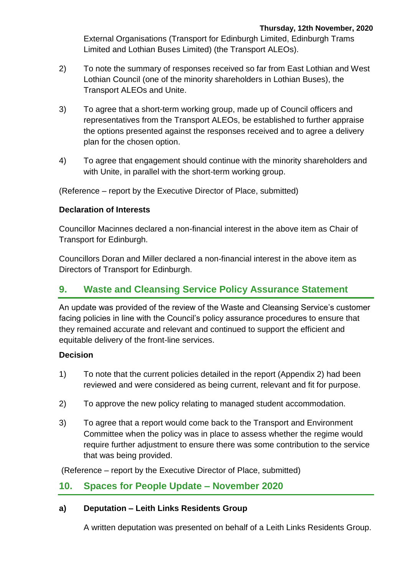External Organisations (Transport for Edinburgh Limited, Edinburgh Trams Limited and Lothian Buses Limited) (the Transport ALEOs).

- 2) To note the summary of responses received so far from East Lothian and West Lothian Council (one of the minority shareholders in Lothian Buses), the Transport ALEOs and Unite.
- 3) To agree that a short-term working group, made up of Council officers and representatives from the Transport ALEOs, be established to further appraise the options presented against the responses received and to agree a delivery plan for the chosen option.
- 4) To agree that engagement should continue with the minority shareholders and with Unite, in parallel with the short-term working group.

(Reference – report by the Executive Director of Place, submitted)

#### **Declaration of Interests**

Councillor Macinnes declared a non-financial interest in the above item as Chair of Transport for Edinburgh.

Councillors Doran and Miller declared a non-financial interest in the above item as Directors of Transport for Edinburgh.

# **9. Waste and Cleansing Service Policy Assurance Statement**

An update was provided of the review of the Waste and Cleansing Service's customer facing policies in line with the Council's policy assurance procedures to ensure that they remained accurate and relevant and continued to support the efficient and equitable delivery of the front-line services.

#### **Decision**

- 1) To note that the current policies detailed in the report (Appendix 2) had been reviewed and were considered as being current, relevant and fit for purpose.
- 2) To approve the new policy relating to managed student accommodation.
- 3) To agree that a report would come back to the Transport and Environment Committee when the policy was in place to assess whether the regime would require further adjustment to ensure there was some contribution to the service that was being provided.

(Reference – report by the Executive Director of Place, submitted)

# **10. Spaces for People Update – November 2020**

#### **a) Deputation – Leith Links Residents Group**

A written deputation was presented on behalf of a Leith Links Residents Group.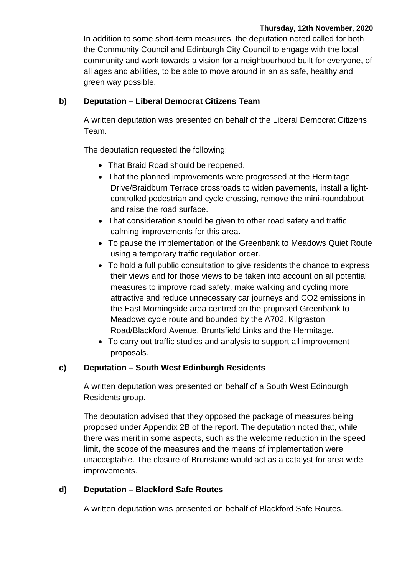In addition to some short-term measures, the deputation noted called for both the Community Council and Edinburgh City Council to engage with the local community and work towards a vision for a neighbourhood built for everyone, of all ages and abilities, to be able to move around in an as safe, healthy and green way possible.

#### **b) Deputation – Liberal Democrat Citizens Team**

A written deputation was presented on behalf of the Liberal Democrat Citizens Team.

The deputation requested the following:

- That Braid Road should be reopened.
- That the planned improvements were progressed at the Hermitage Drive/Braidburn Terrace crossroads to widen pavements, install a lightcontrolled pedestrian and cycle crossing, remove the mini-roundabout and raise the road surface.
- That consideration should be given to other road safety and traffic calming improvements for this area.
- To pause the implementation of the Greenbank to Meadows Quiet Route using a temporary traffic regulation order.
- To hold a full public consultation to give residents the chance to express their views and for those views to be taken into account on all potential measures to improve road safety, make walking and cycling more attractive and reduce unnecessary car journeys and CO2 emissions in the East Morningside area centred on the proposed Greenbank to Meadows cycle route and bounded by the A702, Kilgraston Road/Blackford Avenue, Bruntsfield Links and the Hermitage.
- To carry out traffic studies and analysis to support all improvement proposals.

# **c) Deputation – South West Edinburgh Residents**

A written deputation was presented on behalf of a South West Edinburgh Residents group.

The deputation advised that they opposed the package of measures being proposed under Appendix 2B of the report. The deputation noted that, while there was merit in some aspects, such as the welcome reduction in the speed limit, the scope of the measures and the means of implementation were unacceptable. The closure of Brunstane would act as a catalyst for area wide improvements.

# **d) Deputation – Blackford Safe Routes**

A written deputation was presented on behalf of Blackford Safe Routes.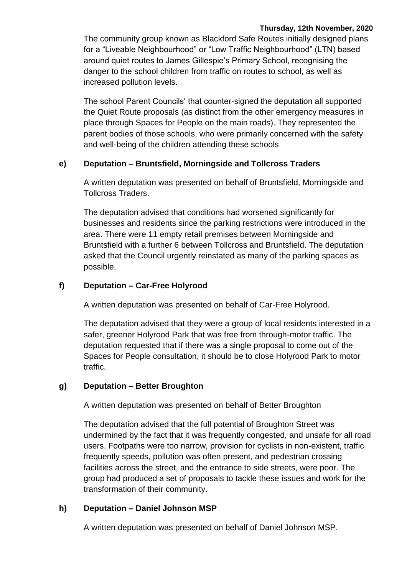The community group known as Blackford Safe Routes initially designed plans for a "Liveable Neighbourhood" or "Low Traffic Neighbourhood" (LTN) based around quiet routes to James Gillespie's Primary School, recognising the danger to the school children from traffic on routes to school, as well as increased pollution levels.

The school Parent Councils' that counter-signed the deputation all supported the Quiet Route proposals (as distinct from the other emergency measures in place through Spaces for People on the main roads). They represented the parent bodies of those schools, who were primarily concerned with the safety and well-being of the children attending these schools

#### **e) Deputation – Bruntsfield, Morningside and Tollcross Traders**

A written deputation was presented on behalf of Bruntsfield, Morningside and Tollcross Traders.

The deputation advised that conditions had worsened significantly for businesses and residents since the parking restrictions were introduced in the area. There were 11 empty retail premises between Morningside and Bruntsfield with a further 6 between Tollcross and Bruntsfield. The deputation asked that the Council urgently reinstated as many of the parking spaces as possible.

#### **f) Deputation – Car-Free Holyrood**

A written deputation was presented on behalf of Car-Free Holyrood.

The deputation advised that they were a group of local residents interested in a safer, greener Holyrood Park that was free from through-motor traffic. The deputation requested that if there was a single proposal to come out of the Spaces for People consultation, it should be to close Holyrood Park to motor traffic.

#### **g) Deputation – Better Broughton**

A written deputation was presented on behalf of Better Broughton

The deputation advised that the full potential of Broughton Street was undermined by the fact that it was frequently congested, and unsafe for all road users. Footpaths were too narrow, provision for cyclists in non-existent, traffic frequently speeds, pollution was often present, and pedestrian crossing facilities across the street, and the entrance to side streets, were poor. The group had produced a set of proposals to tackle these issues and work for the transformation of their community.

#### **h) Deputation – Daniel Johnson MSP**

A written deputation was presented on behalf of Daniel Johnson MSP.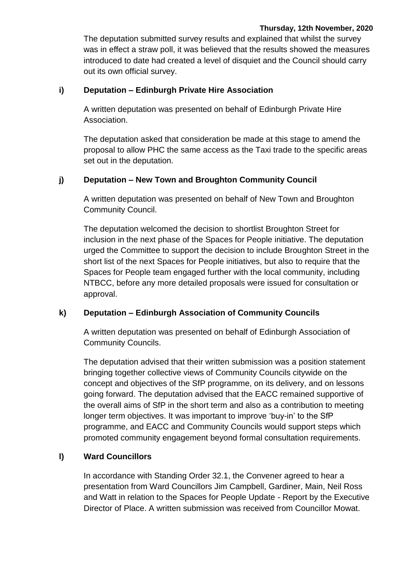The deputation submitted survey results and explained that whilst the survey was in effect a straw poll, it was believed that the results showed the measures introduced to date had created a level of disquiet and the Council should carry out its own official survey.

#### **i) Deputation – Edinburgh Private Hire Association**

A written deputation was presented on behalf of Edinburgh Private Hire Association.

The deputation asked that consideration be made at this stage to amend the proposal to allow PHC the same access as the Taxi trade to the specific areas set out in the deputation.

#### **j) Deputation – New Town and Broughton Community Council**

A written deputation was presented on behalf of New Town and Broughton Community Council.

The deputation welcomed the decision to shortlist Broughton Street for inclusion in the next phase of the Spaces for People initiative. The deputation urged the Committee to support the decision to include Broughton Street in the short list of the next Spaces for People initiatives, but also to require that the Spaces for People team engaged further with the local community, including NTBCC, before any more detailed proposals were issued for consultation or approval.

#### **k) Deputation – Edinburgh Association of Community Councils**

A written deputation was presented on behalf of Edinburgh Association of Community Councils.

The deputation advised that their written submission was a position statement bringing together collective views of Community Councils citywide on the concept and objectives of the SfP programme, on its delivery, and on lessons going forward. The deputation advised that the EACC remained supportive of the overall aims of SfP in the short term and also as a contribution to meeting longer term objectives. It was important to improve 'buy-in' to the SfP programme, and EACC and Community Councils would support steps which promoted community engagement beyond formal consultation requirements.

#### **l) Ward Councillors**

In accordance with Standing Order 32.1, the Convener agreed to hear a presentation from Ward Councillors Jim Campbell, Gardiner, Main, Neil Ross and Watt in relation to the Spaces for People Update - Report by the Executive Director of Place. A written submission was received from Councillor Mowat.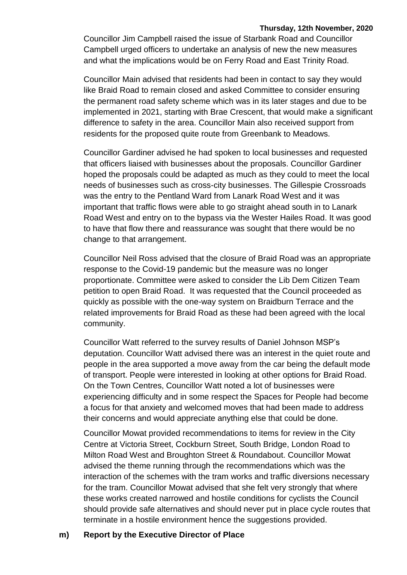Councillor Jim Campbell raised the issue of Starbank Road and Councillor Campbell urged officers to undertake an analysis of new the new measures and what the implications would be on Ferry Road and East Trinity Road.

Councillor Main advised that residents had been in contact to say they would like Braid Road to remain closed and asked Committee to consider ensuring the permanent road safety scheme which was in its later stages and due to be implemented in 2021, starting with Brae Crescent, that would make a significant difference to safety in the area. Councillor Main also received support from residents for the proposed quite route from Greenbank to Meadows.

Councillor Gardiner advised he had spoken to local businesses and requested that officers liaised with businesses about the proposals. Councillor Gardiner hoped the proposals could be adapted as much as they could to meet the local needs of businesses such as cross-city businesses. The Gillespie Crossroads was the entry to the Pentland Ward from Lanark Road West and it was important that traffic flows were able to go straight ahead south in to Lanark Road West and entry on to the bypass via the Wester Hailes Road. It was good to have that flow there and reassurance was sought that there would be no change to that arrangement.

Councillor Neil Ross advised that the closure of Braid Road was an appropriate response to the Covid-19 pandemic but the measure was no longer proportionate. Committee were asked to consider the Lib Dem Citizen Team petition to open Braid Road. It was requested that the Council proceeded as quickly as possible with the one-way system on Braidburn Terrace and the related improvements for Braid Road as these had been agreed with the local community.

Councillor Watt referred to the survey results of Daniel Johnson MSP's deputation. Councillor Watt advised there was an interest in the quiet route and people in the area supported a move away from the car being the default mode of transport. People were interested in looking at other options for Braid Road. On the Town Centres, Councillor Watt noted a lot of businesses were experiencing difficulty and in some respect the Spaces for People had become a focus for that anxiety and welcomed moves that had been made to address their concerns and would appreciate anything else that could be done.

Councillor Mowat provided recommendations to items for review in the City Centre at Victoria Street, Cockburn Street, South Bridge, London Road to Milton Road West and Broughton Street & Roundabout. Councillor Mowat advised the theme running through the recommendations which was the interaction of the schemes with the tram works and traffic diversions necessary for the tram. Councillor Mowat advised that she felt very strongly that where these works created narrowed and hostile conditions for cyclists the Council should provide safe alternatives and should never put in place cycle routes that terminate in a hostile environment hence the suggestions provided.

#### **m) Report by the Executive Director of Place**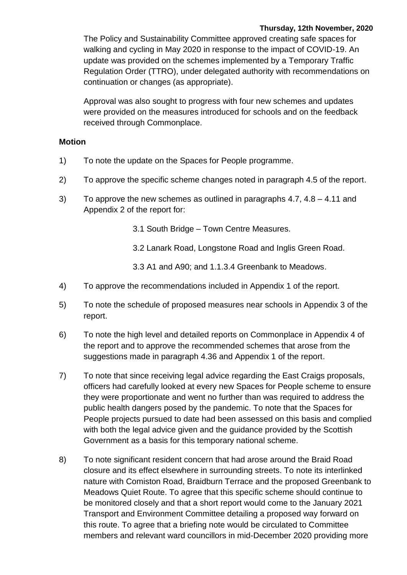The Policy and Sustainability Committee approved creating safe spaces for walking and cycling in May 2020 in response to the impact of COVID-19. An update was provided on the schemes implemented by a Temporary Traffic Regulation Order (TTRO), under delegated authority with recommendations on continuation or changes (as appropriate).

Approval was also sought to progress with four new schemes and updates were provided on the measures introduced for schools and on the feedback received through Commonplace.

#### **Motion**

- 1) To note the update on the Spaces for People programme.
- 2) To approve the specific scheme changes noted in paragraph 4.5 of the report.
- 3) To approve the new schemes as outlined in paragraphs 4.7, 4.8 4.11 and Appendix 2 of the report for:
	- 3.1 South Bridge Town Centre Measures.
	- 3.2 Lanark Road, Longstone Road and Inglis Green Road.
	- 3.3 A1 and A90; and 1.1.3.4 Greenbank to Meadows.
- 4) To approve the recommendations included in Appendix 1 of the report.
- 5) To note the schedule of proposed measures near schools in Appendix 3 of the report.
- 6) To note the high level and detailed reports on Commonplace in Appendix 4 of the report and to approve the recommended schemes that arose from the suggestions made in paragraph 4.36 and Appendix 1 of the report.
- 7) To note that since receiving legal advice regarding the East Craigs proposals, officers had carefully looked at every new Spaces for People scheme to ensure they were proportionate and went no further than was required to address the public health dangers posed by the pandemic. To note that the Spaces for People projects pursued to date had been assessed on this basis and complied with both the legal advice given and the guidance provided by the Scottish Government as a basis for this temporary national scheme.
- 8) To note significant resident concern that had arose around the Braid Road closure and its effect elsewhere in surrounding streets. To note its interlinked nature with Comiston Road, Braidburn Terrace and the proposed Greenbank to Meadows Quiet Route. To agree that this specific scheme should continue to be monitored closely and that a short report would come to the January 2021 Transport and Environment Committee detailing a proposed way forward on this route. To agree that a briefing note would be circulated to Committee members and relevant ward councillors in mid-December 2020 providing more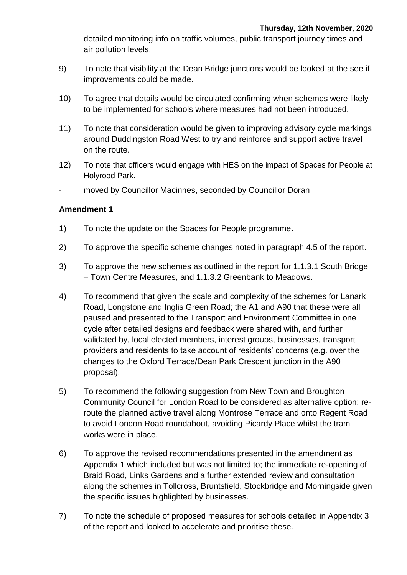detailed monitoring info on traffic volumes, public transport journey times and air pollution levels.

- 9) To note that visibility at the Dean Bridge junctions would be looked at the see if improvements could be made.
- 10) To agree that details would be circulated confirming when schemes were likely to be implemented for schools where measures had not been introduced.
- 11) To note that consideration would be given to improving advisory cycle markings around Duddingston Road West to try and reinforce and support active travel on the route.
- 12) To note that officers would engage with HES on the impact of Spaces for People at Holyrood Park.
- moved by Councillor Macinnes, seconded by Councillor Doran

- 1) To note the update on the Spaces for People programme.
- 2) To approve the specific scheme changes noted in paragraph 4.5 of the report.
- 3) To approve the new schemes as outlined in the report for 1.1.3.1 South Bridge – Town Centre Measures, and 1.1.3.2 Greenbank to Meadows.
- 4) To recommend that given the scale and complexity of the schemes for Lanark Road, Longstone and Inglis Green Road; the A1 and A90 that these were all paused and presented to the Transport and Environment Committee in one cycle after detailed designs and feedback were shared with, and further validated by, local elected members, interest groups, businesses, transport providers and residents to take account of residents' concerns (e.g. over the changes to the Oxford Terrace/Dean Park Crescent junction in the A90 proposal).
- 5) To recommend the following suggestion from New Town and Broughton Community Council for London Road to be considered as alternative option; reroute the planned active travel along Montrose Terrace and onto Regent Road to avoid London Road roundabout, avoiding Picardy Place whilst the tram works were in place.
- 6) To approve the revised recommendations presented in the amendment as Appendix 1 which included but was not limited to; the immediate re-opening of Braid Road, Links Gardens and a further extended review and consultation along the schemes in Tollcross, Bruntsfield, Stockbridge and Morningside given the specific issues highlighted by businesses.
- 7) To note the schedule of proposed measures for schools detailed in Appendix 3 of the report and looked to accelerate and prioritise these.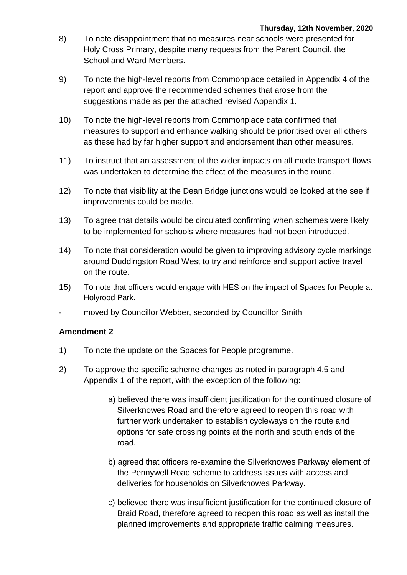- 8) To note disappointment that no measures near schools were presented for Holy Cross Primary, despite many requests from the Parent Council, the School and Ward Members.
- 9) To note the high-level reports from Commonplace detailed in Appendix 4 of the report and approve the recommended schemes that arose from the suggestions made as per the attached revised Appendix 1.
- 10) To note the high-level reports from Commonplace data confirmed that measures to support and enhance walking should be prioritised over all others as these had by far higher support and endorsement than other measures.
- 11) To instruct that an assessment of the wider impacts on all mode transport flows was undertaken to determine the effect of the measures in the round.
- 12) To note that visibility at the Dean Bridge junctions would be looked at the see if improvements could be made.
- 13) To agree that details would be circulated confirming when schemes were likely to be implemented for schools where measures had not been introduced.
- 14) To note that consideration would be given to improving advisory cycle markings around Duddingston Road West to try and reinforce and support active travel on the route.
- 15) To note that officers would engage with HES on the impact of Spaces for People at Holyrood Park.
- moved by Councillor Webber, seconded by Councillor Smith

- 1) To note the update on the Spaces for People programme.
- 2) To approve the specific scheme changes as noted in paragraph 4.5 and Appendix 1 of the report, with the exception of the following:
	- a) believed there was insufficient justification for the continued closure of Silverknowes Road and therefore agreed to reopen this road with further work undertaken to establish cycleways on the route and options for safe crossing points at the north and south ends of the road.
	- b) agreed that officers re-examine the Silverknowes Parkway element of the Pennywell Road scheme to address issues with access and deliveries for households on Silverknowes Parkway.
	- c) believed there was insufficient justification for the continued closure of Braid Road, therefore agreed to reopen this road as well as install the planned improvements and appropriate traffic calming measures.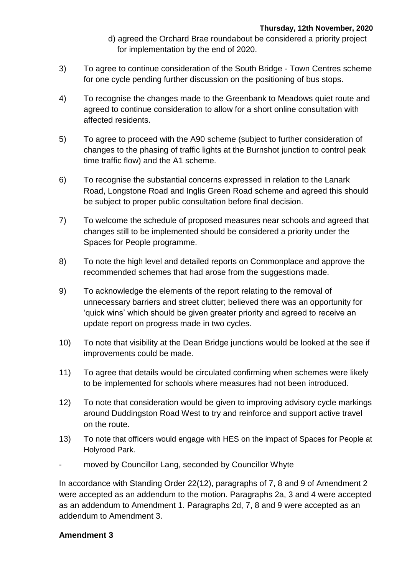- d) agreed the Orchard Brae roundabout be considered a priority project for implementation by the end of 2020.
- 3) To agree to continue consideration of the South Bridge Town Centres scheme for one cycle pending further discussion on the positioning of bus stops.
- 4) To recognise the changes made to the Greenbank to Meadows quiet route and agreed to continue consideration to allow for a short online consultation with affected residents.
- 5) To agree to proceed with the A90 scheme (subject to further consideration of changes to the phasing of traffic lights at the Burnshot junction to control peak time traffic flow) and the A1 scheme.
- 6) To recognise the substantial concerns expressed in relation to the Lanark Road, Longstone Road and Inglis Green Road scheme and agreed this should be subject to proper public consultation before final decision.
- 7) To welcome the schedule of proposed measures near schools and agreed that changes still to be implemented should be considered a priority under the Spaces for People programme.
- 8) To note the high level and detailed reports on Commonplace and approve the recommended schemes that had arose from the suggestions made.
- 9) To acknowledge the elements of the report relating to the removal of unnecessary barriers and street clutter; believed there was an opportunity for 'quick wins' which should be given greater priority and agreed to receive an update report on progress made in two cycles.
- 10) To note that visibility at the Dean Bridge junctions would be looked at the see if improvements could be made.
- 11) To agree that details would be circulated confirming when schemes were likely to be implemented for schools where measures had not been introduced.
- 12) To note that consideration would be given to improving advisory cycle markings around Duddingston Road West to try and reinforce and support active travel on the route.
- 13) To note that officers would engage with HES on the impact of Spaces for People at Holyrood Park.
- moved by Councillor Lang, seconded by Councillor Whyte

In accordance with Standing Order 22(12), paragraphs of 7, 8 and 9 of Amendment 2 were accepted as an addendum to the motion. Paragraphs 2a, 3 and 4 were accepted as an addendum to Amendment 1. Paragraphs 2d, 7, 8 and 9 were accepted as an addendum to Amendment 3.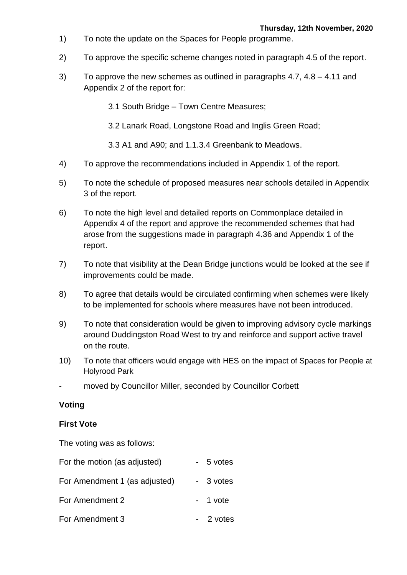- 1) To note the update on the Spaces for People programme.
- 2) To approve the specific scheme changes noted in paragraph 4.5 of the report.
- 3) To approve the new schemes as outlined in paragraphs 4.7, 4.8 4.11 and Appendix 2 of the report for:

3.1 South Bridge – Town Centre Measures;

3.2 Lanark Road, Longstone Road and Inglis Green Road;

3.3 A1 and A90; and 1.1.3.4 Greenbank to Meadows.

- 4) To approve the recommendations included in Appendix 1 of the report.
- 5) To note the schedule of proposed measures near schools detailed in Appendix 3 of the report.
- 6) To note the high level and detailed reports on Commonplace detailed in Appendix 4 of the report and approve the recommended schemes that had arose from the suggestions made in paragraph 4.36 and Appendix 1 of the report.
- 7) To note that visibility at the Dean Bridge junctions would be looked at the see if improvements could be made.
- 8) To agree that details would be circulated confirming when schemes were likely to be implemented for schools where measures have not been introduced.
- 9) To note that consideration would be given to improving advisory cycle markings around Duddingston Road West to try and reinforce and support active travel on the route.
- 10) To note that officers would engage with HES on the impact of Spaces for People at Holyrood Park
- moved by Councillor Miller, seconded by Councillor Corbett

#### **Voting**

#### **First Vote**

The voting was as follows:

| For the motion (as adjusted)  | - 5 votes |
|-------------------------------|-----------|
| For Amendment 1 (as adjusted) | - 3 votes |
| For Amendment 2               | $-1$ vote |
| For Amendment 3               | - 2 votes |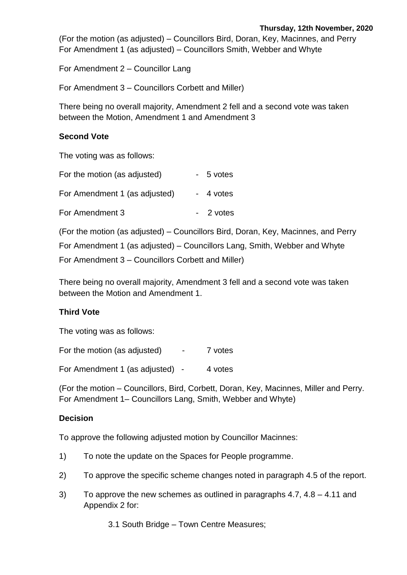(For the motion (as adjusted) – Councillors Bird, Doran, Key, Macinnes, and Perry For Amendment 1 (as adjusted) – Councillors Smith, Webber and Whyte

For Amendment 2 – Councillor Lang

For Amendment 3 – Councillors Corbett and Miller)

There being no overall majority, Amendment 2 fell and a second vote was taken between the Motion, Amendment 1 and Amendment 3

#### **Second Vote**

The voting was as follows:

| For the motion (as adjusted)  | - 5 votes |
|-------------------------------|-----------|
| For Amendment 1 (as adjusted) | - 4 votes |
| For Amendment 3               | - 2 votes |

(For the motion (as adjusted) – Councillors Bird, Doran, Key, Macinnes, and Perry For Amendment 1 (as adjusted) – Councillors Lang, Smith, Webber and Whyte For Amendment 3 – Councillors Corbett and Miller)

There being no overall majority, Amendment 3 fell and a second vote was taken between the Motion and Amendment 1.

#### **Third Vote**

The voting was as follows:

For the motion (as adjusted) - 7 votes

For Amendment 1 (as adjusted) - 4 votes

(For the motion – Councillors, Bird, Corbett, Doran, Key, Macinnes, Miller and Perry. For Amendment 1– Councillors Lang, Smith, Webber and Whyte)

#### **Decision**

To approve the following adjusted motion by Councillor Macinnes:

- 1) To note the update on the Spaces for People programme.
- 2) To approve the specific scheme changes noted in paragraph 4.5 of the report.
- 3) To approve the new schemes as outlined in paragraphs 4.7, 4.8 4.11 and Appendix 2 for:

3.1 South Bridge – Town Centre Measures;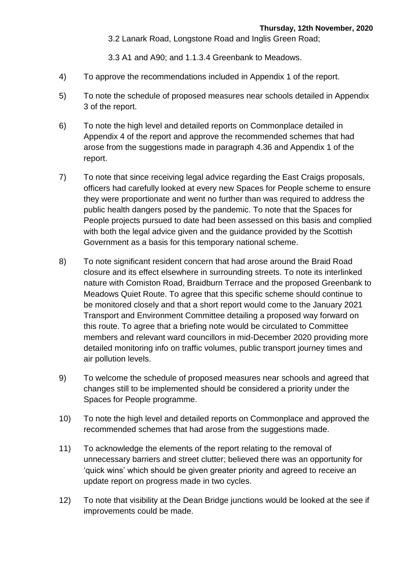3.2 Lanark Road, Longstone Road and Inglis Green Road;

3.3 A1 and A90; and 1.1.3.4 Greenbank to Meadows.

- 4) To approve the recommendations included in Appendix 1 of the report.
- 5) To note the schedule of proposed measures near schools detailed in Appendix 3 of the report.
- 6) To note the high level and detailed reports on Commonplace detailed in Appendix 4 of the report and approve the recommended schemes that had arose from the suggestions made in paragraph 4.36 and Appendix 1 of the report.
- 7) To note that since receiving legal advice regarding the East Craigs proposals, officers had carefully looked at every new Spaces for People scheme to ensure they were proportionate and went no further than was required to address the public health dangers posed by the pandemic. To note that the Spaces for People projects pursued to date had been assessed on this basis and complied with both the legal advice given and the guidance provided by the Scottish Government as a basis for this temporary national scheme.
- 8) To note significant resident concern that had arose around the Braid Road closure and its effect elsewhere in surrounding streets. To note its interlinked nature with Comiston Road, Braidburn Terrace and the proposed Greenbank to Meadows Quiet Route. To agree that this specific scheme should continue to be monitored closely and that a short report would come to the January 2021 Transport and Environment Committee detailing a proposed way forward on this route. To agree that a briefing note would be circulated to Committee members and relevant ward councillors in mid-December 2020 providing more detailed monitoring info on traffic volumes, public transport journey times and air pollution levels.
- 9) To welcome the schedule of proposed measures near schools and agreed that changes still to be implemented should be considered a priority under the Spaces for People programme.
- 10) To note the high level and detailed reports on Commonplace and approved the recommended schemes that had arose from the suggestions made.
- 11) To acknowledge the elements of the report relating to the removal of unnecessary barriers and street clutter; believed there was an opportunity for 'quick wins' which should be given greater priority and agreed to receive an update report on progress made in two cycles.
- 12) To note that visibility at the Dean Bridge junctions would be looked at the see if improvements could be made.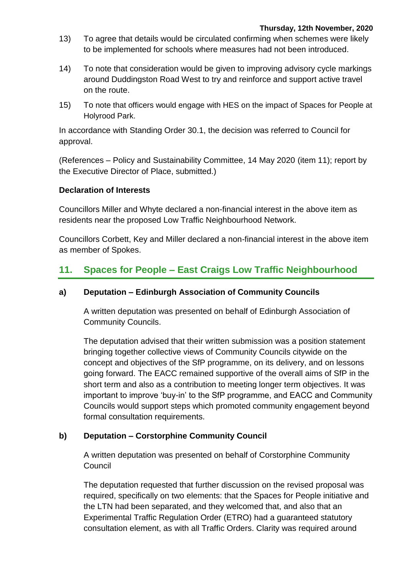- 13) To agree that details would be circulated confirming when schemes were likely to be implemented for schools where measures had not been introduced.
- 14) To note that consideration would be given to improving advisory cycle markings around Duddingston Road West to try and reinforce and support active travel on the route.
- 15) To note that officers would engage with HES on the impact of Spaces for People at Holyrood Park.

In accordance with Standing Order 30.1, the decision was referred to Council for approval.

(References – Policy and Sustainability Committee, 14 May 2020 (item 11); report by the Executive Director of Place, submitted.)

#### **Declaration of Interests**

Councillors Miller and Whyte declared a non-financial interest in the above item as residents near the proposed Low Traffic Neighbourhood Network.

Councillors Corbett, Key and Miller declared a non-financial interest in the above item as member of Spokes.

# **11. Spaces for People – East Craigs Low Traffic Neighbourhood**

#### **a) Deputation – Edinburgh Association of Community Councils**

A written deputation was presented on behalf of Edinburgh Association of Community Councils.

The deputation advised that their written submission was a position statement bringing together collective views of Community Councils citywide on the concept and objectives of the SfP programme, on its delivery, and on lessons going forward. The EACC remained supportive of the overall aims of SfP in the short term and also as a contribution to meeting longer term objectives. It was important to improve 'buy-in' to the SfP programme, and EACC and Community Councils would support steps which promoted community engagement beyond formal consultation requirements.

#### **b) Deputation – Corstorphine Community Council**

A written deputation was presented on behalf of Corstorphine Community **Council** 

The deputation requested that further discussion on the revised proposal was required, specifically on two elements: that the Spaces for People initiative and the LTN had been separated, and they welcomed that, and also that an Experimental Traffic Regulation Order (ETRO) had a guaranteed statutory consultation element, as with all Traffic Orders. Clarity was required around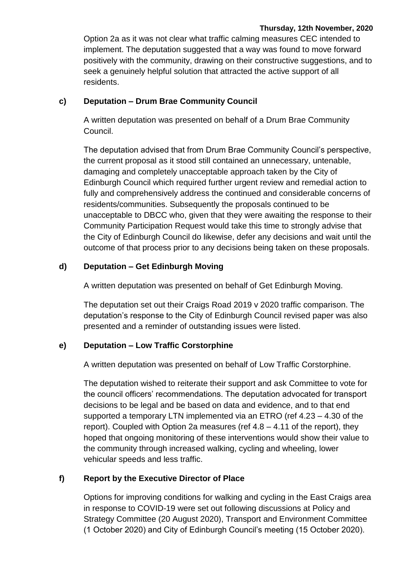Option 2a as it was not clear what traffic calming measures CEC intended to implement. The deputation suggested that a way was found to move forward positively with the community, drawing on their constructive suggestions, and to seek a genuinely helpful solution that attracted the active support of all residents.

#### **c) Deputation – Drum Brae Community Council**

A written deputation was presented on behalf of a Drum Brae Community Council.

The deputation advised that from Drum Brae Community Council's perspective, the current proposal as it stood still contained an unnecessary, untenable, damaging and completely unacceptable approach taken by the City of Edinburgh Council which required further urgent review and remedial action to fully and comprehensively address the continued and considerable concerns of residents/communities. Subsequently the proposals continued to be unacceptable to DBCC who, given that they were awaiting the response to their Community Participation Request would take this time to strongly advise that the City of Edinburgh Council do likewise, defer any decisions and wait until the outcome of that process prior to any decisions being taken on these proposals.

#### **d) Deputation – Get Edinburgh Moving**

A written deputation was presented on behalf of Get Edinburgh Moving.

The deputation set out their Craigs Road 2019 v 2020 traffic comparison. The deputation's response to the City of Edinburgh Council revised paper was also presented and a reminder of outstanding issues were listed.

#### **e) Deputation – Low Traffic Corstorphine**

A written deputation was presented on behalf of Low Traffic Corstorphine.

The deputation wished to reiterate their support and ask Committee to vote for the council officers' recommendations. The deputation advocated for transport decisions to be legal and be based on data and evidence, and to that end supported a temporary LTN implemented via an ETRO (ref 4.23 – 4.30 of the report). Coupled with Option 2a measures (ref 4.8 – 4.11 of the report), they hoped that ongoing monitoring of these interventions would show their value to the community through increased walking, cycling and wheeling, lower vehicular speeds and less traffic.

# **f) Report by the Executive Director of Place**

Options for improving conditions for walking and cycling in the East Craigs area in response to COVID-19 were set out following discussions at Policy and Strategy Committee (20 August 2020), Transport and Environment Committee (1 October 2020) and City of Edinburgh Council's meeting (15 October 2020).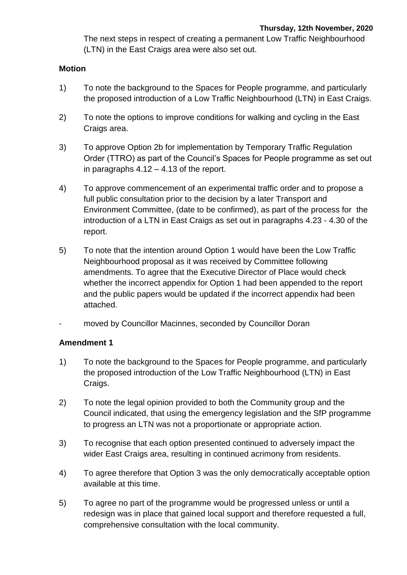The next steps in respect of creating a permanent Low Traffic Neighbourhood (LTN) in the East Craigs area were also set out.

#### **Motion**

- 1) To note the background to the Spaces for People programme, and particularly the proposed introduction of a Low Traffic Neighbourhood (LTN) in East Craigs.
- 2) To note the options to improve conditions for walking and cycling in the East Craigs area.
- 3) To approve Option 2b for implementation by Temporary Traffic Regulation Order (TTRO) as part of the Council's Spaces for People programme as set out in paragraphs 4.12 – 4.13 of the report.
- 4) To approve commencement of an experimental traffic order and to propose a full public consultation prior to the decision by a later Transport and Environment Committee, (date to be confirmed), as part of the process for the introduction of a LTN in East Craigs as set out in paragraphs 4.23 - 4.30 of the report.
- 5) To note that the intention around Option 1 would have been the Low Traffic Neighbourhood proposal as it was received by Committee following amendments. To agree that the Executive Director of Place would check whether the incorrect appendix for Option 1 had been appended to the report and the public papers would be updated if the incorrect appendix had been attached.
- moved by Councillor Macinnes, seconded by Councillor Doran

- 1) To note the background to the Spaces for People programme, and particularly the proposed introduction of the Low Traffic Neighbourhood (LTN) in East Craigs.
- 2) To note the legal opinion provided to both the Community group and the Council indicated, that using the emergency legislation and the SfP programme to progress an LTN was not a proportionate or appropriate action.
- 3) To recognise that each option presented continued to adversely impact the wider East Craigs area, resulting in continued acrimony from residents.
- 4) To agree therefore that Option 3 was the only democratically acceptable option available at this time.
- 5) To agree no part of the programme would be progressed unless or until a redesign was in place that gained local support and therefore requested a full, comprehensive consultation with the local community.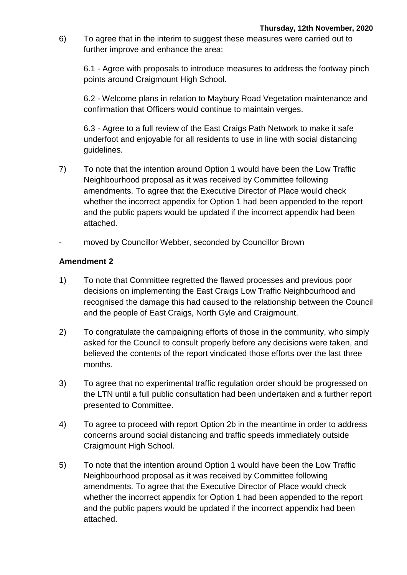6) To agree that in the interim to suggest these measures were carried out to further improve and enhance the area:

6.1 - Agree with proposals to introduce measures to address the footway pinch points around Craigmount High School.

6.2 - Welcome plans in relation to Maybury Road Vegetation maintenance and confirmation that Officers would continue to maintain verges.

6.3 - Agree to a full review of the East Craigs Path Network to make it safe underfoot and enjoyable for all residents to use in line with social distancing guidelines.

- 7) To note that the intention around Option 1 would have been the Low Traffic Neighbourhood proposal as it was received by Committee following amendments. To agree that the Executive Director of Place would check whether the incorrect appendix for Option 1 had been appended to the report and the public papers would be updated if the incorrect appendix had been attached.
- moved by Councillor Webber, seconded by Councillor Brown

- 1) To note that Committee regretted the flawed processes and previous poor decisions on implementing the East Craigs Low Traffic Neighbourhood and recognised the damage this had caused to the relationship between the Council and the people of East Craigs, North Gyle and Craigmount.
- 2) To congratulate the campaigning efforts of those in the community, who simply asked for the Council to consult properly before any decisions were taken, and believed the contents of the report vindicated those efforts over the last three months.
- 3) To agree that no experimental traffic regulation order should be progressed on the LTN until a full public consultation had been undertaken and a further report presented to Committee.
- 4) To agree to proceed with report Option 2b in the meantime in order to address concerns around social distancing and traffic speeds immediately outside Craigmount High School.
- 5) To note that the intention around Option 1 would have been the Low Traffic Neighbourhood proposal as it was received by Committee following amendments. To agree that the Executive Director of Place would check whether the incorrect appendix for Option 1 had been appended to the report and the public papers would be updated if the incorrect appendix had been attached.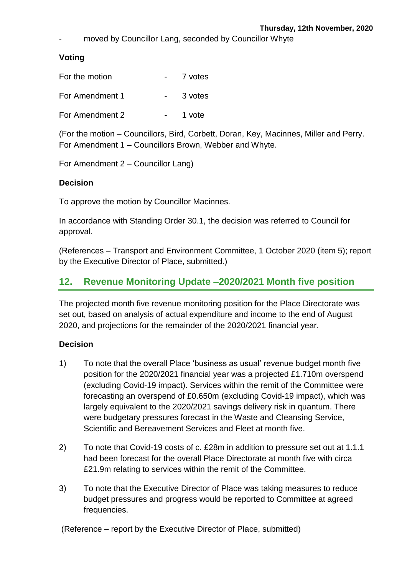moved by Councillor Lang, seconded by Councillor Whyte

#### **Voting**

| For the motion  | 7 votes |
|-----------------|---------|
| For Amendment 1 | 3 votes |
| For Amendment 2 | 1 vote  |

(For the motion – Councillors, Bird, Corbett, Doran, Key, Macinnes, Miller and Perry. For Amendment 1 – Councillors Brown, Webber and Whyte.

For Amendment 2 – Councillor Lang)

#### **Decision**

To approve the motion by Councillor Macinnes.

In accordance with Standing Order 30.1, the decision was referred to Council for approval.

(References – Transport and Environment Committee, 1 October 2020 (item 5); report by the Executive Director of Place, submitted.)

# **12. Revenue Monitoring Update –2020/2021 Month five position**

The projected month five revenue monitoring position for the Place Directorate was set out, based on analysis of actual expenditure and income to the end of August 2020, and projections for the remainder of the 2020/2021 financial year.

#### **Decision**

- 1) To note that the overall Place 'business as usual' revenue budget month five position for the 2020/2021 financial year was a projected £1.710m overspend (excluding Covid-19 impact). Services within the remit of the Committee were forecasting an overspend of £0.650m (excluding Covid-19 impact), which was largely equivalent to the 2020/2021 savings delivery risk in quantum. There were budgetary pressures forecast in the Waste and Cleansing Service, Scientific and Bereavement Services and Fleet at month five.
- 2) To note that Covid-19 costs of c. £28m in addition to pressure set out at 1.1.1 had been forecast for the overall Place Directorate at month five with circa £21.9m relating to services within the remit of the Committee.
- 3) To note that the Executive Director of Place was taking measures to reduce budget pressures and progress would be reported to Committee at agreed frequencies.

(Reference – report by the Executive Director of Place, submitted)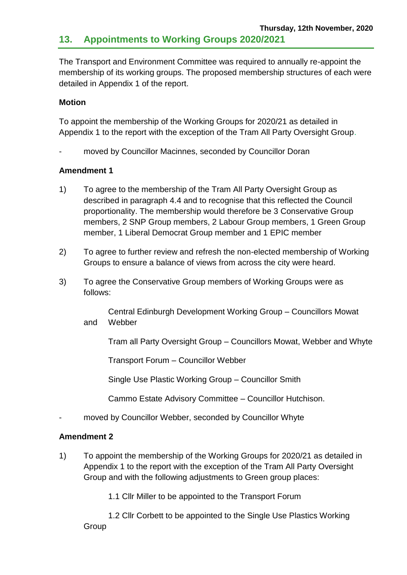The Transport and Environment Committee was required to annually re-appoint the membership of its working groups. The proposed membership structures of each were detailed in Appendix 1 of the report.

#### **Motion**

To appoint the membership of the Working Groups for 2020/21 as detailed in Appendix 1 to the report with the exception of the Tram All Party Oversight Group.

moved by Councillor Macinnes, seconded by Councillor Doran

#### **Amendment 1**

- 1) To agree to the membership of the Tram All Party Oversight Group as described in paragraph 4.4 and to recognise that this reflected the Council proportionality. The membership would therefore be 3 Conservative Group members, 2 SNP Group members, 2 Labour Group members, 1 Green Group member, 1 Liberal Democrat Group member and 1 EPIC member
- 2) To agree to further review and refresh the non-elected membership of Working Groups to ensure a balance of views from across the city were heard.
- 3) To agree the Conservative Group members of Working Groups were as follows:

Central Edinburgh Development Working Group – Councillors Mowat and Webber

Tram all Party Oversight Group – Councillors Mowat, Webber and Whyte

Transport Forum – Councillor Webber

Single Use Plastic Working Group – Councillor Smith

Cammo Estate Advisory Committee – Councillor Hutchison.

moved by Councillor Webber, seconded by Councillor Whyte

#### **Amendment 2**

1) To appoint the membership of the Working Groups for 2020/21 as detailed in Appendix 1 to the report with the exception of the Tram All Party Oversight Group and with the following adjustments to Green group places:

1.1 Cllr Miller to be appointed to the Transport Forum

1.2 Cllr Corbett to be appointed to the Single Use Plastics Working **Group**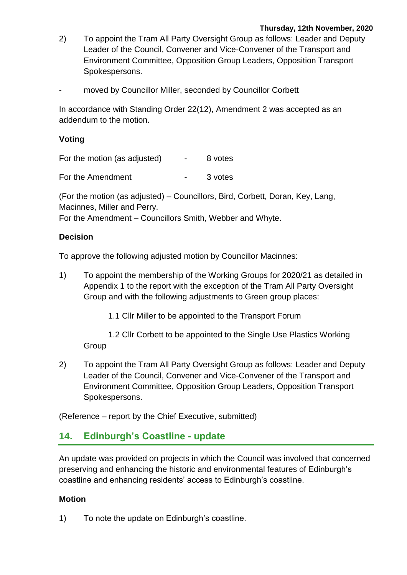- 2) To appoint the Tram All Party Oversight Group as follows: Leader and Deputy Leader of the Council, Convener and Vice-Convener of the Transport and Environment Committee, Opposition Group Leaders, Opposition Transport Spokespersons.
- moved by Councillor Miller, seconded by Councillor Corbett

In accordance with Standing Order 22(12), Amendment 2 was accepted as an addendum to the motion.

#### **Voting**

For the motion (as adjusted)  $\qquad \qquad -$  8 votes

For the Amendment Theorem Contract Contract Contract 3 votes

(For the motion (as adjusted) – Councillors, Bird, Corbett, Doran, Key, Lang, Macinnes, Miller and Perry.

For the Amendment – Councillors Smith, Webber and Whyte.

#### **Decision**

To approve the following adjusted motion by Councillor Macinnes:

- 1) To appoint the membership of the Working Groups for 2020/21 as detailed in Appendix 1 to the report with the exception of the Tram All Party Oversight Group and with the following adjustments to Green group places:
	- 1.1 Cllr Miller to be appointed to the Transport Forum

1.2 Cllr Corbett to be appointed to the Single Use Plastics Working Group

2) To appoint the Tram All Party Oversight Group as follows: Leader and Deputy Leader of the Council, Convener and Vice-Convener of the Transport and Environment Committee, Opposition Group Leaders, Opposition Transport Spokespersons.

(Reference – report by the Chief Executive, submitted)

# **14. Edinburgh's Coastline - update**

An update was provided on projects in which the Council was involved that concerned preserving and enhancing the historic and environmental features of Edinburgh's coastline and enhancing residents' access to Edinburgh's coastline.

#### **Motion**

1) To note the update on Edinburgh's coastline.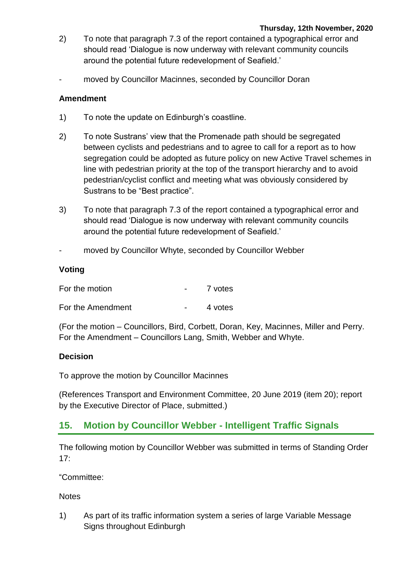- 2) To note that paragraph 7.3 of the report contained a typographical error and should read 'Dialogue is now underway with relevant community councils around the potential future redevelopment of Seafield.'
- moved by Councillor Macinnes, seconded by Councillor Doran

#### **Amendment**

- 1) To note the update on Edinburgh's coastline.
- 2) To note Sustrans' view that the Promenade path should be segregated between cyclists and pedestrians and to agree to call for a report as to how segregation could be adopted as future policy on new Active Travel schemes in line with pedestrian priority at the top of the transport hierarchy and to avoid pedestrian/cyclist conflict and meeting what was obviously considered by Sustrans to be "Best practice".
- 3) To note that paragraph 7.3 of the report contained a typographical error and should read 'Dialogue is now underway with relevant community councils around the potential future redevelopment of Seafield.'
- moved by Councillor Whyte, seconded by Councillor Webber

#### **Voting**

| For the motion    | 7 votes |
|-------------------|---------|
| For the Amendment | 4 votes |

(For the motion – Councillors, Bird, Corbett, Doran, Key, Macinnes, Miller and Perry. For the Amendment – Councillors Lang, Smith, Webber and Whyte.

#### **Decision**

To approve the motion by Councillor Macinnes

(References Transport and Environment Committee, 20 June 2019 (item 20); report by the Executive Director of Place, submitted.)

# **15. Motion by Councillor Webber - Intelligent Traffic Signals**

The following motion by Councillor Webber was submitted in terms of Standing Order 17:

"Committee:

**Notes** 

1) As part of its traffic information system a series of large Variable Message Signs throughout Edinburgh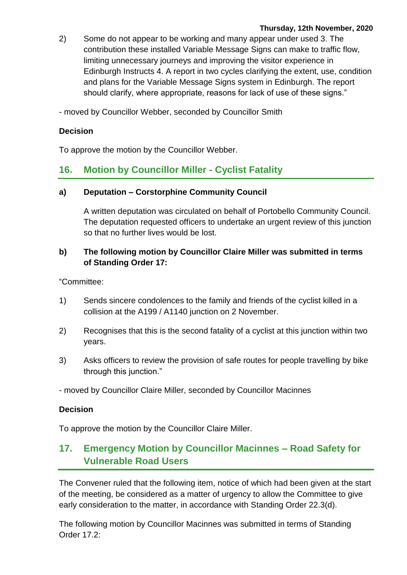2) Some do not appear to be working and many appear under used 3. The contribution these installed Variable Message Signs can make to traffic flow, limiting unnecessary journeys and improving the visitor experience in Edinburgh Instructs 4. A report in two cycles clarifying the extent, use, condition and plans for the Variable Message Signs system in Edinburgh. The report should clarify, where appropriate, reasons for lack of use of these signs."

- moved by Councillor Webber, seconded by Councillor Smith

#### **Decision**

To approve the motion by the Councillor Webber.

# **16. Motion by Councillor Miller - Cyclist Fatality**

#### **a) Deputation – Corstorphine Community Council**

A written deputation was circulated on behalf of Portobello Community Council. The deputation requested officers to undertake an urgent review of this junction so that no further lives would be lost.

#### **b) The following motion by Councillor Claire Miller was submitted in terms of Standing Order 17:**

"Committee:

- 1) Sends sincere condolences to the family and friends of the cyclist killed in a collision at the A199 / A1140 junction on 2 November.
- 2) Recognises that this is the second fatality of a cyclist at this junction within two years.
- 3) Asks officers to review the provision of safe routes for people travelling by bike through this junction."
- moved by Councillor Claire Miller, seconded by Councillor Macinnes

#### **Decision**

To approve the motion by the Councillor Claire Miller.

# **17. Emergency Motion by Councillor Macinnes – Road Safety for Vulnerable Road Users**

The Convener ruled that the following item, notice of which had been given at the start of the meeting, be considered as a matter of urgency to allow the Committee to give early consideration to the matter, in accordance with Standing Order 22.3(d).

The following motion by Councillor Macinnes was submitted in terms of Standing Order 17.2: